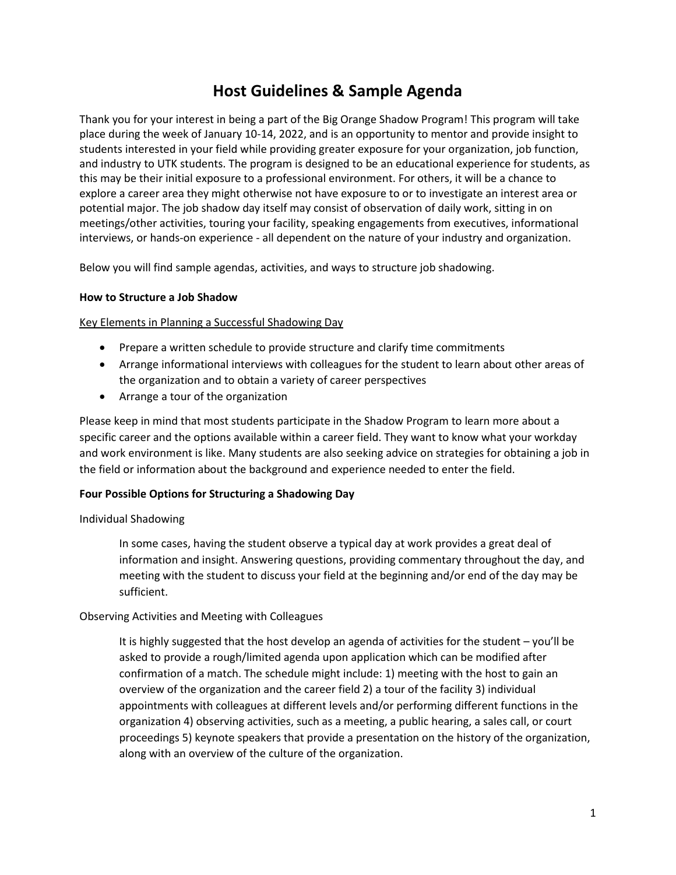# **Host Guidelines & Sample Agenda**

Thank you for your interest in being a part of the Big Orange Shadow Program! This program will take place during the week of January 10-14, 2022, and is an opportunity to mentor and provide insight to students interested in your field while providing greater exposure for your organization, job function, and industry to UTK students. The program is designed to be an educational experience for students, as this may be their initial exposure to a professional environment. For others, it will be a chance to explore a career area they might otherwise not have exposure to or to investigate an interest area or potential major. The job shadow day itself may consist of observation of daily work, sitting in on meetings/other activities, touring your facility, speaking engagements from executives, informational interviews, or hands-on experience - all dependent on the nature of your industry and organization.

Below you will find sample agendas, activities, and ways to structure job shadowing.

# **How to Structure a Job Shadow**

Key Elements in Planning a Successful Shadowing Day

- Prepare a written schedule to provide structure and clarify time commitments
- Arrange informational interviews with colleagues for the student to learn about other areas of the organization and to obtain a variety of career perspectives
- Arrange a tour of the organization

Please keep in mind that most students participate in the Shadow Program to learn more about a specific career and the options available within a career field. They want to know what your workday and work environment is like. Many students are also seeking advice on strategies for obtaining a job in the field or information about the background and experience needed to enter the field.

## **Four Possible Options for Structuring a Shadowing Day**

## Individual Shadowing

In some cases, having the student observe a typical day at work provides a great deal of information and insight. Answering questions, providing commentary throughout the day, and meeting with the student to discuss your field at the beginning and/or end of the day may be sufficient.

## Observing Activities and Meeting with Colleagues

It is highly suggested that the host develop an agenda of activities for the student – you'll be asked to provide a rough/limited agenda upon application which can be modified after confirmation of a match. The schedule might include: 1) meeting with the host to gain an overview of the organization and the career field 2) a tour of the facility 3) individual appointments with colleagues at different levels and/or performing different functions in the organization 4) observing activities, such as a meeting, a public hearing, a sales call, or court proceedings 5) keynote speakers that provide a presentation on the history of the organization, along with an overview of the culture of the organization.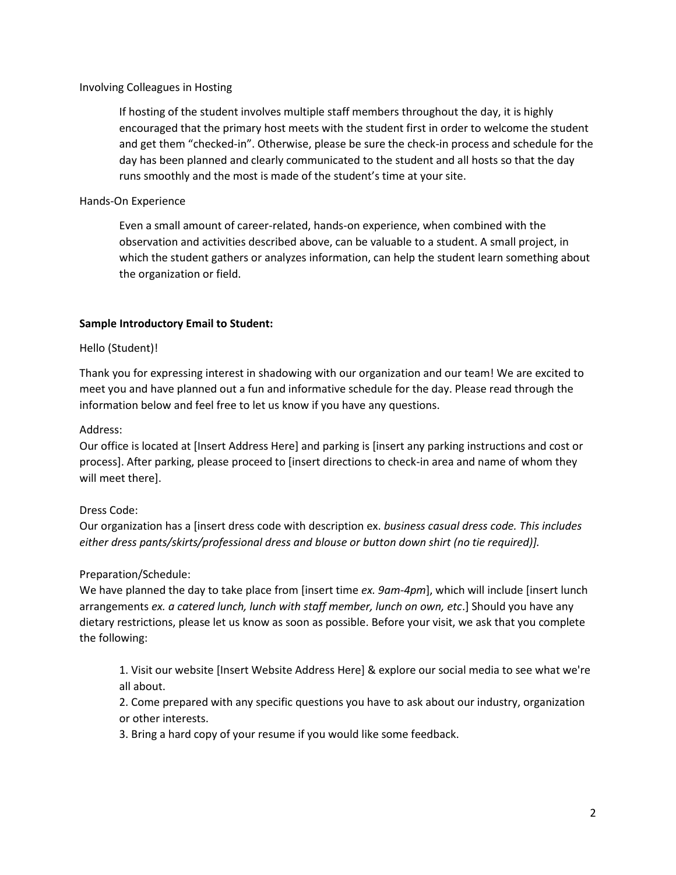## Involving Colleagues in Hosting

If hosting of the student involves multiple staff members throughout the day, it is highly encouraged that the primary host meets with the student first in order to welcome the student and get them "checked-in". Otherwise, please be sure the check-in process and schedule for the day has been planned and clearly communicated to the student and all hosts so that the day runs smoothly and the most is made of the student's time at your site.

## Hands-On Experience

Even a small amount of career-related, hands-on experience, when combined with the observation and activities described above, can be valuable to a student. A small project, in which the student gathers or analyzes information, can help the student learn something about the organization or field.

#### **Sample Introductory Email to Student:**

#### Hello (Student)!

Thank you for expressing interest in shadowing with our organization and our team! We are excited to meet you and have planned out a fun and informative schedule for the day. Please read through the information below and feel free to let us know if you have any questions.

#### Address:

Our office is located at [Insert Address Here] and parking is [insert any parking instructions and cost or process]. After parking, please proceed to [insert directions to check-in area and name of whom they will meet there].

## Dress Code:

Our organization has a [insert dress code with description ex. *business casual dress code. This includes either dress pants/skirts/professional dress and blouse or button down shirt (no tie required)].*

## Preparation/Schedule:

We have planned the day to take place from [insert time *ex. 9am-4pm*], which will include [insert lunch arrangements *ex. a catered lunch, lunch with staff member, lunch on own, etc*.] Should you have any dietary restrictions, please let us know as soon as possible. Before your visit, we ask that you complete the following:

1. Visit our website [Insert Website Address Here] & explore our social media to see what we're all about.

2. Come prepared with any specific questions you have to ask about our industry, organization or other interests.

3. Bring a hard copy of your resume if you would like some feedback.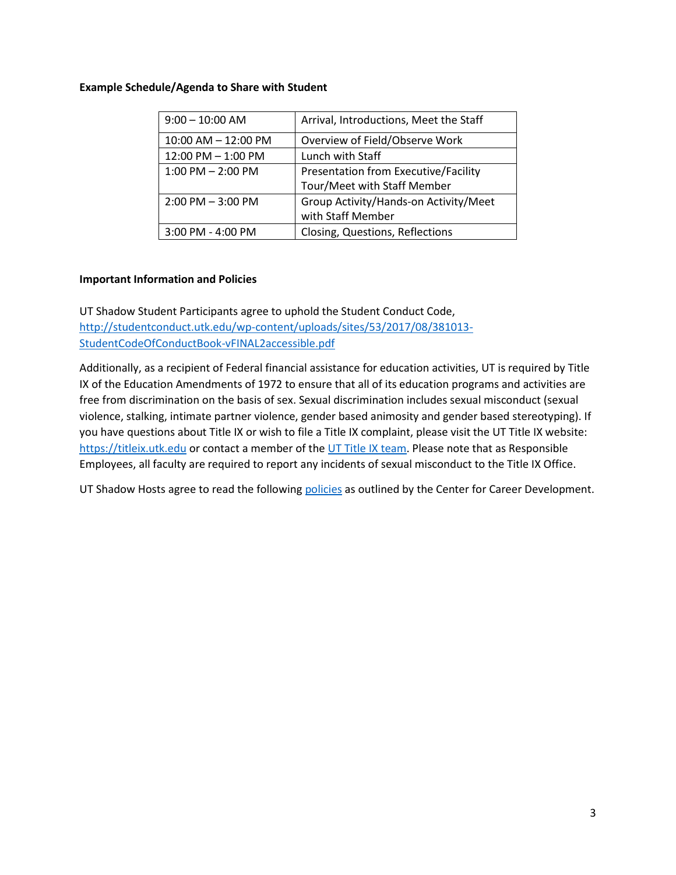#### **Example Schedule/Agenda to Share with Student**

| $9:00 - 10:00$ AM       | Arrival, Introductions, Meet the Staff |
|-------------------------|----------------------------------------|
| $10:00$ AM $- 12:00$ PM | Overview of Field/Observe Work         |
| $12:00$ PM $- 1:00$ PM  | Lunch with Staff                       |
| $1:00$ PM $- 2:00$ PM   | Presentation from Executive/Facility   |
|                         | Tour/Meet with Staff Member            |
| $2:00$ PM $-3:00$ PM    | Group Activity/Hands-on Activity/Meet  |
|                         | with Staff Member                      |
| $3:00$ PM - 4:00 PM     | Closing, Questions, Reflections        |

## **Important Information and Policies**

UT Shadow Student Participants agree to uphold the Student Conduct Code, [http://studentconduct.utk.edu/wp-content/uploads/sites/53/2017/08/381013-](http://studentconduct.utk.edu/wp-content/uploads/sites/53/2017/08/381013-StudentCodeOfConductBook-vFINAL2accessible.pdf) [StudentCodeOfConductBook-vFINAL2accessible.pdf](http://studentconduct.utk.edu/wp-content/uploads/sites/53/2017/08/381013-StudentCodeOfConductBook-vFINAL2accessible.pdf)

Additionally, as a recipient of Federal financial assistance for education activities, UT is required by Title IX of the Education Amendments of 1972 to ensure that all of its education programs and activities are free from discrimination on the basis of sex. Sexual discrimination includes sexual misconduct (sexual violence, stalking, intimate partner violence, gender based animosity and gender based stereotyping). If you have questions about Title IX or wish to file a Title IX complaint, please visit the UT Title IX website: [https://titleix.utk.edu](https://titleix.utk.edu/) or contact a member of the [UT Title IX team.](https://titleix.utk.edu/the-title-ix-team/) Please note that as Responsible Employees, all faculty are required to report any incidents of sexual misconduct to the Title IX Office.

UT Shadow Hosts agree to read the following [policies](http://career.utk.edu/wp-content/uploads/sites/56/2016/04/RECRUITING-POLICIES-AND-GUIDELINES.pdf) as outlined by the Center for Career Development.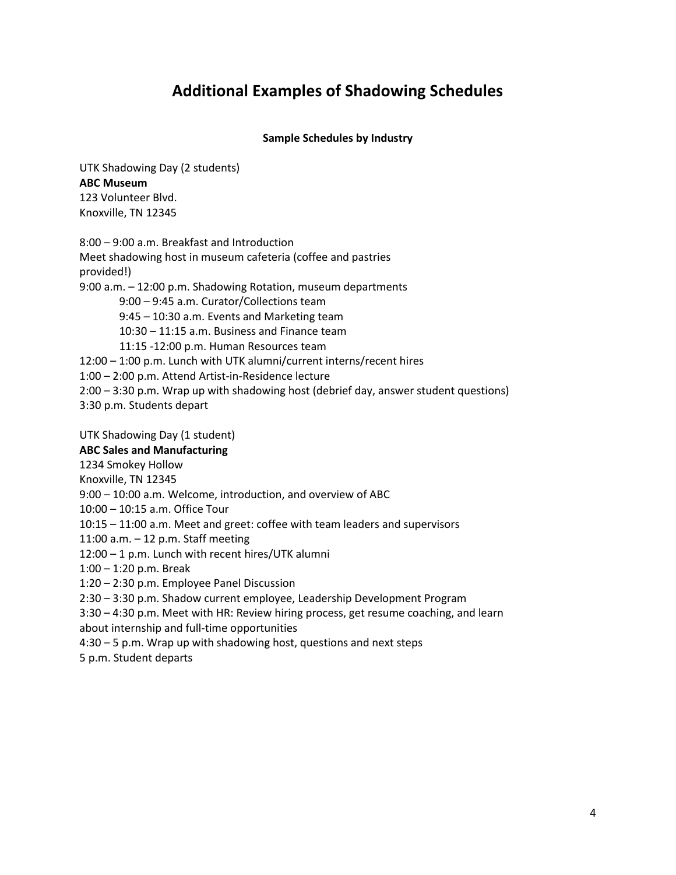# **Additional Examples of Shadowing Schedules**

#### **Sample Schedules by Industry**

UTK Shadowing Day (2 students) **ABC Museum** 123 Volunteer Blvd. Knoxville, TN 12345

8:00 – 9:00 a.m. Breakfast and Introduction Meet shadowing host in museum cafeteria (coffee and pastries provided!) 9:00 a.m. – 12:00 p.m. Shadowing Rotation, museum departments 9:00 – 9:45 a.m. Curator/Collections team 9:45 – 10:30 a.m. Events and Marketing team 10:30 – 11:15 a.m. Business and Finance team 11:15 -12:00 p.m. Human Resources team 12:00 – 1:00 p.m. Lunch with UTK alumni/current interns/recent hires 1:00 – 2:00 p.m. Attend Artist-in-Residence lecture 2:00 – 3:30 p.m. Wrap up with shadowing host (debrief day, answer student questions) 3:30 p.m. Students depart UTK Shadowing Day (1 student) **ABC Sales and Manufacturing** 1234 Smokey Hollow Knoxville, TN 12345 9:00 – 10:00 a.m. Welcome, introduction, and overview of ABC 10:00 – 10:15 a.m. Office Tour 10:15 – 11:00 a.m. Meet and greet: coffee with team leaders and supervisors 11:00 a.m. – 12 p.m. Staff meeting 12:00 – 1 p.m. Lunch with recent hires/UTK alumni 1:00 – 1:20 p.m. Break 1:20 – 2:30 p.m. Employee Panel Discussion 2:30 – 3:30 p.m. Shadow current employee, Leadership Development Program 3:30 – 4:30 p.m. Meet with HR: Review hiring process, get resume coaching, and learn about internship and full-time opportunities

4:30 – 5 p.m. Wrap up with shadowing host, questions and next steps

5 p.m. Student departs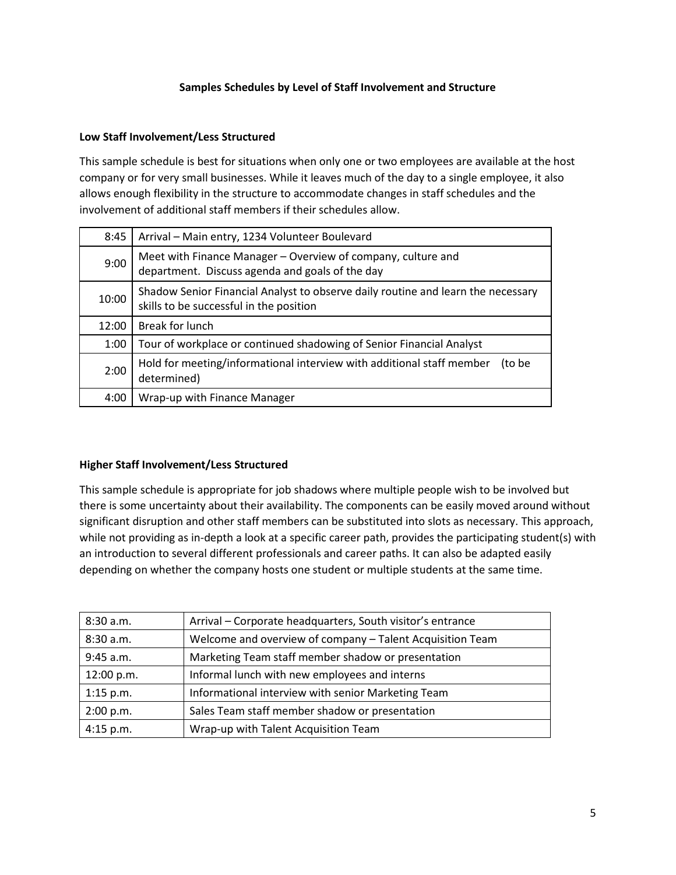## **Samples Schedules by Level of Staff Involvement and Structure**

# **Low Staff Involvement/Less Structured**

This sample schedule is best for situations when only one or two employees are available at the host company or for very small businesses. While it leaves much of the day to a single employee, it also allows enough flexibility in the structure to accommodate changes in staff schedules and the involvement of additional staff members if their schedules allow.

| 8:45  | Arrival - Main entry, 1234 Volunteer Boulevard                                                                              |
|-------|-----------------------------------------------------------------------------------------------------------------------------|
| 9:00  | Meet with Finance Manager - Overview of company, culture and<br>department. Discuss agenda and goals of the day             |
| 10:00 | Shadow Senior Financial Analyst to observe daily routine and learn the necessary<br>skills to be successful in the position |
| 12:00 | Break for lunch                                                                                                             |
| 1:00  | Tour of workplace or continued shadowing of Senior Financial Analyst                                                        |
| 2:00  | Hold for meeting/informational interview with additional staff member<br>(to be<br>determined)                              |
| 4:00  | Wrap-up with Finance Manager                                                                                                |

## **Higher Staff Involvement/Less Structured**

This sample schedule is appropriate for job shadows where multiple people wish to be involved but there is some uncertainty about their availability. The components can be easily moved around without significant disruption and other staff members can be substituted into slots as necessary. This approach, while not providing as in-depth a look at a specific career path, provides the participating student(s) with an introduction to several different professionals and career paths. It can also be adapted easily depending on whether the company hosts one student or multiple students at the same time.

| 8:30 a.m.   | Arrival - Corporate headquarters, South visitor's entrance |
|-------------|------------------------------------------------------------|
| 8:30 a.m.   | Welcome and overview of company - Talent Acquisition Team  |
| 9:45 a.m.   | Marketing Team staff member shadow or presentation         |
| 12:00 p.m.  | Informal lunch with new employees and interns              |
| $1:15$ p.m. | Informational interview with senior Marketing Team         |
| 2:00 p.m.   | Sales Team staff member shadow or presentation             |
| 4:15 p.m.   | Wrap-up with Talent Acquisition Team                       |